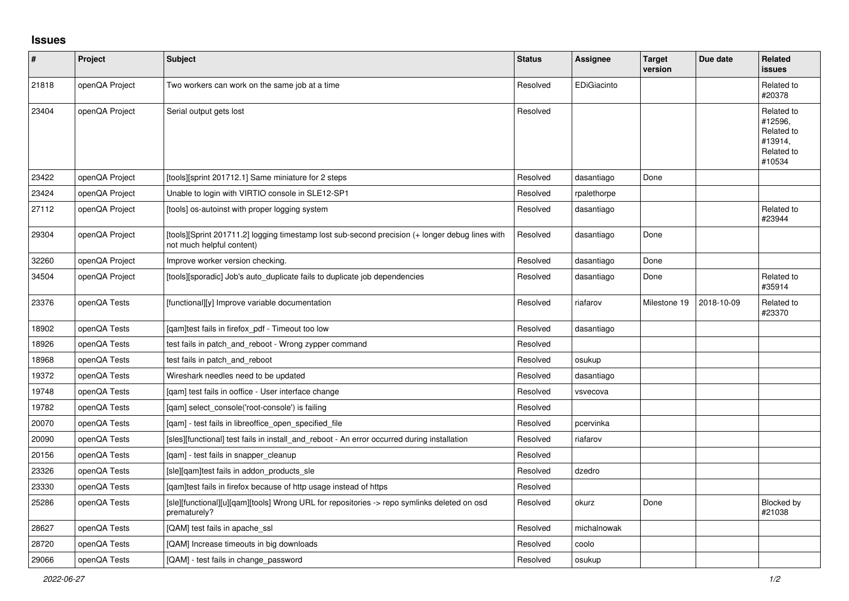## **Issues**

| $\vert$ # | Project        | <b>Subject</b>                                                                                                               | <b>Status</b> | <b>Assignee</b> | <b>Target</b><br>version | Due date   | Related<br><b>issues</b>                                               |
|-----------|----------------|------------------------------------------------------------------------------------------------------------------------------|---------------|-----------------|--------------------------|------------|------------------------------------------------------------------------|
| 21818     | openQA Project | Two workers can work on the same job at a time                                                                               | Resolved      | EDiGiacinto     |                          |            | Related to<br>#20378                                                   |
| 23404     | openQA Project | Serial output gets lost                                                                                                      | Resolved      |                 |                          |            | Related to<br>#12596.<br>Related to<br>#13914,<br>Related to<br>#10534 |
| 23422     | openQA Project | [tools][sprint 201712.1] Same miniature for 2 steps                                                                          | Resolved      | dasantiago      | Done                     |            |                                                                        |
| 23424     | openQA Project | Unable to login with VIRTIO console in SLE12-SP1                                                                             | Resolved      | rpalethorpe     |                          |            |                                                                        |
| 27112     | openQA Project | [tools] os-autoinst with proper logging system                                                                               | Resolved      | dasantiago      |                          |            | Related to<br>#23944                                                   |
| 29304     | openQA Project | [tools][Sprint 201711.2] logging timestamp lost sub-second precision (+ longer debug lines with<br>not much helpful content) | Resolved      | dasantiago      | Done                     |            |                                                                        |
| 32260     | openQA Project | Improve worker version checking.                                                                                             | Resolved      | dasantiago      | Done                     |            |                                                                        |
| 34504     | openQA Project | [tools][sporadic] Job's auto_duplicate fails to duplicate job dependencies                                                   | Resolved      | dasantiago      | Done                     |            | Related to<br>#35914                                                   |
| 23376     | openQA Tests   | [functional][y] Improve variable documentation                                                                               | Resolved      | riafarov        | Milestone 19             | 2018-10-09 | Related to<br>#23370                                                   |
| 18902     | openQA Tests   | [gam]test fails in firefox pdf - Timeout too low                                                                             | Resolved      | dasantiago      |                          |            |                                                                        |
| 18926     | openQA Tests   | test fails in patch_and_reboot - Wrong zypper command                                                                        | Resolved      |                 |                          |            |                                                                        |
| 18968     | openQA Tests   | test fails in patch and reboot                                                                                               | Resolved      | osukup          |                          |            |                                                                        |
| 19372     | openQA Tests   | Wireshark needles need to be updated                                                                                         | Resolved      | dasantiago      |                          |            |                                                                        |
| 19748     | openQA Tests   | [qam] test fails in ooffice - User interface change                                                                          | Resolved      | vsvecova        |                          |            |                                                                        |
| 19782     | openQA Tests   | [qam] select_console('root-console') is failing                                                                              | Resolved      |                 |                          |            |                                                                        |
| 20070     | openQA Tests   | [qam] - test fails in libreoffice_open_specified_file                                                                        | Resolved      | pcervinka       |                          |            |                                                                        |
| 20090     | openQA Tests   | [sles][functional] test fails in install_and_reboot - An error occurred during installation                                  | Resolved      | riafarov        |                          |            |                                                                        |
| 20156     | openQA Tests   | [gam] - test fails in snapper cleanup                                                                                        | Resolved      |                 |                          |            |                                                                        |
| 23326     | openQA Tests   | [sle][gam]test fails in addon products sle                                                                                   | Resolved      | dzedro          |                          |            |                                                                        |
| 23330     | openQA Tests   | [gam]test fails in firefox because of http usage instead of https                                                            | Resolved      |                 |                          |            |                                                                        |
| 25286     | openQA Tests   | [sle][functional][u][qam][tools] Wrong URL for repositories -> repo symlinks deleted on osd<br>prematurely?                  | Resolved      | okurz           | Done                     |            | Blocked by<br>#21038                                                   |
| 28627     | openQA Tests   | [QAM] test fails in apache ssl                                                                                               | Resolved      | michalnowak     |                          |            |                                                                        |
| 28720     | openQA Tests   | [QAM] Increase timeouts in big downloads                                                                                     | Resolved      | coolo           |                          |            |                                                                        |
| 29066     | openQA Tests   | [QAM] - test fails in change password                                                                                        | Resolved      | osukup          |                          |            |                                                                        |